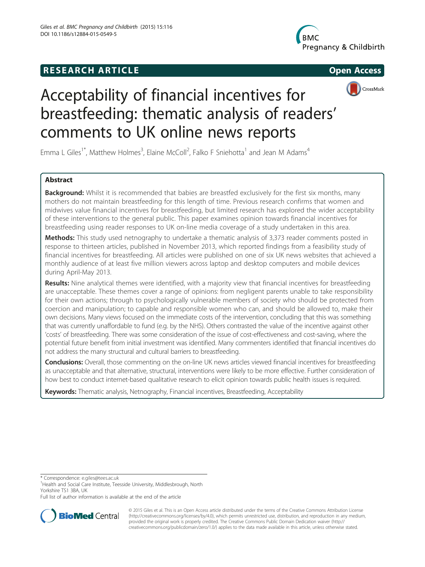## **RESEARCH ARTICLE Example 2014 The SEAR CH ACCESS**







# Acceptability of financial incentives for breastfeeding: thematic analysis of readers' comments to UK online news reports

Emma L Giles<sup>1\*</sup>, Matthew Holmes<sup>3</sup>, Elaine McColl<sup>2</sup>, Falko F Sniehotta<sup>1</sup> and Jean M Adams<sup>4</sup>

## Abstract

**Background:** Whilst it is recommended that babies are breastfed exclusively for the first six months, many mothers do not maintain breastfeeding for this length of time. Previous research confirms that women and midwives value financial incentives for breastfeeding, but limited research has explored the wider acceptability of these interventions to the general public. This paper examines opinion towards financial incentives for breastfeeding using reader responses to UK on-line media coverage of a study undertaken in this area.

Methods: This study used netnography to undertake a thematic analysis of 3,373 reader comments posted in response to thirteen articles, published in November 2013, which reported findings from a feasibility study of financial incentives for breastfeeding. All articles were published on one of six UK news websites that achieved a monthly audience of at least five million viewers across laptop and desktop computers and mobile devices during April-May 2013.

Results: Nine analytical themes were identified, with a majority view that financial incentives for breastfeeding are unacceptable. These themes cover a range of opinions: from negligent parents unable to take responsibility for their own actions; through to psychologically vulnerable members of society who should be protected from coercion and manipulation; to capable and responsible women who can, and should be allowed to, make their own decisions. Many views focused on the immediate costs of the intervention, concluding that this was something that was currently unaffordable to fund (e.g. by the NHS). Others contrasted the value of the incentive against other 'costs' of breastfeeding. There was some consideration of the issue of cost-effectiveness and cost-saving, where the potential future benefit from initial investment was identified. Many commenters identified that financial incentives do not address the many structural and cultural barriers to breastfeeding.

Conclusions: Overall, those commenting on the on-line UK news articles viewed financial incentives for breastfeeding as unacceptable and that alternative, structural, interventions were likely to be more effective. Further consideration of how best to conduct internet-based qualitative research to elicit opinion towards public health issues is required.

Keywords: Thematic analysis, Netnography, Financial incentives, Breastfeeding, Acceptability

\* Correspondence: [e.giles@tees.ac.uk](mailto:e.giles@tees.ac.uk) <sup>1</sup>

<sup>1</sup>Health and Social Care Institute, Teesside University, Middlesbrough, North Yorkshire TS1 3BA, UK

Full list of author information is available at the end of the article



© 2015 Giles et al. This is an Open Access article distributed under the terms of the Creative Commons Attribution License [\(http://creativecommons.org/licenses/by/4.0\)](http://creativecommons.org/licenses/by/4.0), which permits unrestricted use, distribution, and reproduction in any medium, provided the original work is properly credited. The Creative Commons Public Domain Dedication waiver [\(http://](http://creativecommons.org/publicdomain/zero/1.0/) [creativecommons.org/publicdomain/zero/1.0/\)](http://creativecommons.org/publicdomain/zero/1.0/) applies to the data made available in this article, unless otherwise stated.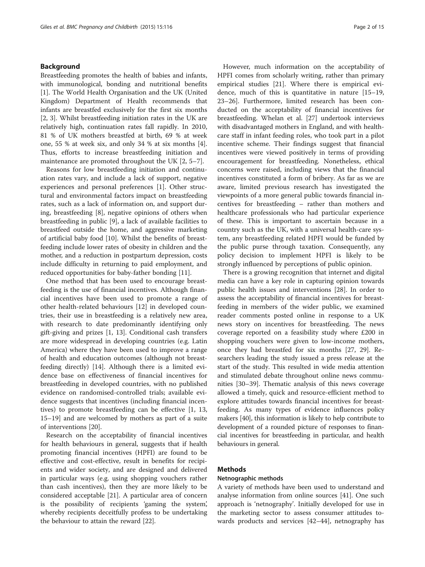### Background

Breastfeeding promotes the health of babies and infants, with immunological, bonding and nutritional benefits [[1\]](#page-12-0). The World Health Organisation and the UK (United Kingdom) Department of Health recommends that infants are breastfed exclusively for the first six months [[2, 3\]](#page-12-0). Whilst breastfeeding initiation rates in the UK are relatively high, continuation rates fall rapidly. In 2010, 81 % of UK mothers breastfed at birth, 69 % at week one, 55 % at week six, and only 34 % at six months [\[4](#page-12-0)]. Thus, efforts to increase breastfeeding initiation and maintenance are promoted throughout the UK [\[2, 5](#page-12-0)–[7\]](#page-12-0).

Reasons for low breastfeeding initiation and continuation rates vary, and include a lack of support, negative experiences and personal preferences [[1\]](#page-12-0). Other structural and environmental factors impact on breastfeeding rates, such as a lack of information on, and support during, breastfeeding [[8\]](#page-12-0), negative opinions of others when breastfeeding in public [[9\]](#page-12-0), a lack of available facilities to breastfeed outside the home, and aggressive marketing of artificial baby food [\[10\]](#page-12-0). Whilst the benefits of breastfeeding include lower rates of obesity in children and the mother, and a reduction in postpartum depression, costs include difficulty in returning to paid employment, and reduced opportunities for baby-father bonding [[11](#page-12-0)].

One method that has been used to encourage breastfeeding is the use of financial incentives. Although financial incentives have been used to promote a range of other health-related behaviours [\[12](#page-12-0)] in developed countries, their use in breastfeeding is a relatively new area, with research to date predominantly identifying only gift-giving and prizes [[1](#page-12-0), [13](#page-12-0)]. Conditional cash transfers are more widespread in developing countries (e.g. Latin America) where they have been used to improve a range of health and education outcomes (although not breastfeeding directly) [[14](#page-12-0)]. Although there is a limited evidence base on effectiveness of financial incentives for breastfeeding in developed countries, with no published evidence on randomised-controlled trials; available evidence suggests that incentives (including financial incentives) to promote breastfeeding can be effective [\[1, 13](#page-12-0), [15](#page-12-0)–[19](#page-12-0)] and are welcomed by mothers as part of a suite of interventions [[20](#page-12-0)].

Research on the acceptability of financial incentives for health behaviours in general, suggests that if health promoting financial incentives (HPFI) are found to be effective and cost-effective, result in benefits for recipients and wider society, and are designed and delivered in particular ways (e.g. using shopping vouchers rather than cash incentives), then they are more likely to be considered acceptable [[21](#page-12-0)]. A particular area of concern is the possibility of recipients 'gaming the system', whereby recipients deceitfully profess to be undertaking the behaviour to attain the reward [\[22\]](#page-12-0).

However, much information on the acceptability of HPFI comes from scholarly writing, rather than primary empirical studies [[21\]](#page-12-0). Where there is empirical evidence, much of this is quantitative in nature [[15](#page-12-0)–[19](#page-12-0), [23](#page-12-0)–[26](#page-12-0)]. Furthermore, limited research has been conducted on the acceptability of financial incentives for breastfeeding. Whelan et al. [\[27\]](#page-12-0) undertook interviews with disadvantaged mothers in England, and with healthcare staff in infant feeding roles, who took part in a pilot incentive scheme. Their findings suggest that financial incentives were viewed positively in terms of providing encouragement for breastfeeding. Nonetheless, ethical concerns were raised, including views that the financial incentives constituted a form of bribery. As far as we are aware, limited previous research has investigated the viewpoints of a more general public towards financial incentives for breastfeeding – rather than mothers and healthcare professionals who had particular experience of these. This is important to ascertain because in a country such as the UK, with a universal health-care system, any breastfeeding related HPFI would be funded by the public purse through taxation. Consequently, any policy decision to implement HPFI is likely to be strongly influenced by perceptions of public opinion.

There is a growing recognition that internet and digital media can have a key role in capturing opinion towards public health issues and interventions [[28\]](#page-12-0). In order to assess the acceptability of financial incentives for breastfeeding in members of the wider public, we examined reader comments posted online in response to a UK news story on incentives for breastfeeding. The news coverage reported on a feasibility study where £200 in shopping vouchers were given to low-income mothers, once they had breastfed for six months [[27, 29](#page-12-0)]. Researchers leading the study issued a press release at the start of the study. This resulted in wide media attention and stimulated debate throughout online news communities [[30](#page-12-0)–[39](#page-13-0)]. Thematic analysis of this news coverage allowed a timely, quick and resource-efficient method to explore attitudes towards financial incentives for breastfeeding. As many types of evidence influences policy makers [\[40\]](#page-13-0), this information is likely to help contribute to development of a rounded picture of responses to financial incentives for breastfeeding in particular, and health behaviours in general.

## Methods

## Netnographic methods

A variety of methods have been used to understand and analyse information from online sources [[41\]](#page-13-0). One such approach is 'netnography'. Initially developed for use in the marketing sector to assess consumer attitudes towards products and services [\[42](#page-13-0)–[44](#page-13-0)], netnography has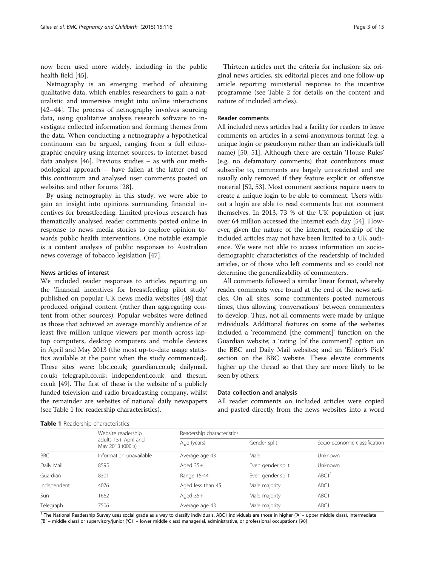now been used more widely, including in the public health field [[45](#page-13-0)].

Netnography is an emerging method of obtaining qualitative data, which enables researchers to gain a naturalistic and immersive insight into online interactions [[42](#page-13-0)–[44](#page-13-0)]. The process of netnography involves sourcing data, using qualitative analysis research software to investigate collected information and forming themes from the data. When conducting a netnography a hypothetical continuum can be argued, ranging from a full ethnographic enquiry using internet sources, to internet-based data analysis [[46](#page-13-0)]. Previous studies – as with our methodological approach – have fallen at the latter end of this continuum and analysed user comments posted on websites and other forums [\[28](#page-12-0)].

By using netnography in this study, we were able to gain an insight into opinions surrounding financial incentives for breastfeeding. Limited previous research has thematically analysed reader comments posted online in response to news media stories to explore opinion towards public health interventions. One notable example is a content analysis of public responses to Australian news coverage of tobacco legislation [\[47](#page-13-0)].

## News articles of interest

We included reader responses to articles reporting on the 'financial incentives for breastfeeding pilot study' published on popular UK news media websites [\[48\]](#page-13-0) that produced original content (rather than aggregating content from other sources). Popular websites were defined as those that achieved an average monthly audience of at least five million unique viewers per month across laptop computers, desktop computers and mobile devices in April and May 2013 (the most up-to-date usage statistics available at the point when the study commenced). These sites were: bbc.co.uk; guardian.co.uk; dailymail. co.uk; telegraph.co.uk; independent.co.uk; and thesun. co.uk [\[49\]](#page-13-0). The first of these is the website of a publicly funded television and radio broadcasting company, whilst the remainder are websites of national daily newspapers (see Table 1 for readership characteristics).

Thirteen articles met the criteria for inclusion: six original news articles, six editorial pieces and one follow-up article reporting ministerial response to the incentive programme (see Table [2](#page-3-0) for details on the content and nature of included articles).

#### Reader comments

All included news articles had a facility for readers to leave comments on articles in a semi-anonymous format (e.g. a unique login or pseudonym rather than an individual's full name) [[50](#page-13-0), [51\]](#page-13-0). Although there are certain 'House Rules' (e.g. no defamatory comments) that contributors must subscribe to, comments are largely unrestricted and are usually only removed if they feature explicit or offensive material [\[52, 53\]](#page-13-0). Most comment sections require users to create a unique login to be able to comment. Users without a login are able to read comments but not comment themselves. In 2013, 73 % of the UK population of just over 64 million accessed the Internet each day [\[54\]](#page-13-0). However, given the nature of the internet, readership of the included articles may not have been limited to a UK audience. We were not able to access information on sociodemographic characteristics of the readership of included articles, or of those who left comments and so could not determine the generalizability of commenters.

All comments followed a similar linear format, whereby reader comments were found at the end of the news articles. On all sites, some commenters posted numerous times, thus allowing 'conversations' between commenters to develop. Thus, not all comments were made by unique individuals. Additional features on some of the websites included a 'recommend [the comment]' function on the Guardian website; a 'rating [of the comment]' option on the BBC and Daily Mail websites; and an 'Editor's Pick' section on the BBC website. These elevate comments higher up the thread so that they are more likely to be seen by others.

#### Data collection and analysis

All reader comments on included articles were copied and pasted directly from the news websites into a word

|             | Website readership<br>adults 15+ April and<br>May 2013 (000 s) | Readership characteristics |                   |                               |  |
|-------------|----------------------------------------------------------------|----------------------------|-------------------|-------------------------------|--|
|             |                                                                | Age (years)                | Gender split      | Socio-economic classification |  |
| <b>BBC</b>  | Information unavailable                                        | Average age 43             | Male              | Unknown                       |  |
| Daily Mail  | 8595                                                           | Aged $35+$                 | Even gender split | Unknown                       |  |
| Guardian    | 8301                                                           | Range 15-44                | Even gender split | $ABC1$ <sup>1</sup>           |  |
| Independent | 4076                                                           | Aged less than 45          | Male majority     | ABC1                          |  |
| Sun         | 1662                                                           | Aged $35+$                 | Male majority     | ABC <sub>1</sub>              |  |
| Telegraph   | 7506                                                           | Average age 43             | Male majority     | ABC1                          |  |

<sup>1</sup> The National Readership Survey uses social grade as a way to classify individuals. ABC1 individuals are those in higher ('A' – upper middle class), intermediate ('B' – middle class) or supervisory/junior ('C1' – lower middle class) managerial, administrative, or professional occupations [\[90](#page-14-0)]

| Table 1 Readership characteristics |  |
|------------------------------------|--|
|------------------------------------|--|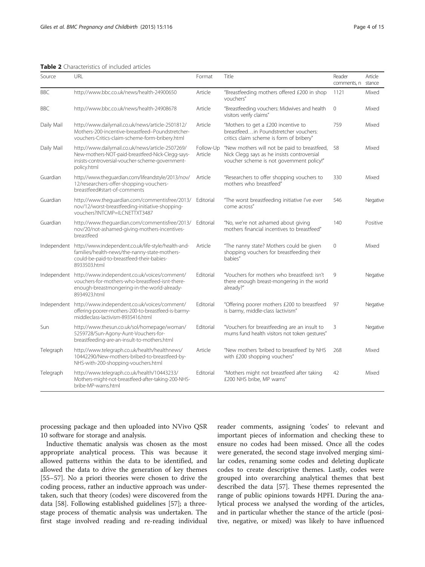<span id="page-3-0"></span>

| <b>Table 2</b> Characteristics of included articles |
|-----------------------------------------------------|
|-----------------------------------------------------|

| Source     | URL                                                                                                                                                                           | Format               | Title                                                                                                                                    | Reader<br>comments, n | Article<br>stance |
|------------|-------------------------------------------------------------------------------------------------------------------------------------------------------------------------------|----------------------|------------------------------------------------------------------------------------------------------------------------------------------|-----------------------|-------------------|
| <b>BBC</b> | http://www.bbc.co.uk/news/health-24900650                                                                                                                                     | Article              | "Breastfeeding mothers offered £200 in shop<br>vouchers"                                                                                 | 1121                  | Mixed             |
| <b>BBC</b> | http://www.bbc.co.uk/news/health-24908678                                                                                                                                     | Article              | "Breastfeeding vouchers: Midwives and health<br>visitors verify claims"                                                                  | $\mathbf 0$           | Mixed             |
| Daily Mail | http://www.dailymail.co.uk/news/article-2501812/<br>Mothers-200-incentive-breastfeed-Poundstretcher-<br>vouchers-Critics-claim-scheme-form-bribery.html                       | Article              | "Mothers to get a £200 incentive to<br>breastfeedin Poundstretcher vouchers:<br>critics claim scheme is form of bribery"                 | 759                   | Mixed             |
| Daily Mail | http://www.dailymail.co.uk/news/article-2507269/<br>New-mothers-NOT-paid-breastfeed-Nick-Clegg-says-<br>insists-controversial-voucher-scheme-government-<br>policy.html       | Follow-Up<br>Article | "New mothers will not be paid to breastfeed,<br>Nick Clegg says as he insists controversial<br>voucher scheme is not government policy!" | 58                    | Mixed             |
| Guardian   | http://www.thequardian.com/lifeandstyle/2013/nov/<br>12/researchers-offer-shopping-vouchers-<br>breastfeed#start-of-comments                                                  | Article              | "Researchers to offer shopping vouchers to<br>mothers who breastfeed"                                                                    | 330                   | Mixed             |
| Guardian   | http://www.thequardian.com/commentisfree/2013/<br>nov/12/worst-breastfeeding-initiative-shopping-<br>vouchers?INTCMP=ILCNETTXT3487                                            | Editorial            | "The worst breastfeeding initiative I've ever<br>come across"                                                                            | 546                   | Negative          |
| Guardian   | http://www.thequardian.com/commentisfree/2013/<br>nov/20/not-ashamed-giving-mothers-incentives-<br>breastfeed                                                                 | Editorial            | "No, we're not ashamed about giving<br>mothers financial incentives to breastfeed"                                                       | 140                   | Positive          |
|            | Independent http://www.independent.co.uk/life-style/health-and-<br>families/health-news/the-nanny-state-mothers-<br>could-be-paid-to-breastfeed-their-babies-<br>8933503.html | Article              | "The nanny state? Mothers could be given<br>shopping vouchers for breastfeeding their<br>babies"                                         | $\mathbf{0}$          | Mixed             |
|            | Independent http://www.independent.co.uk/voices/comment/<br>vouchers-for-mothers-who-breastfeed-isnt-there-<br>enough-breastmongering-in-the-world-already-<br>8934923.html   | Editorial            | "Vouchers for mothers who breastfeed: isn't<br>there enough breast-mongering in the world<br>already?"                                   | 9                     | Negative          |
|            | Independent http://www.independent.co.uk/voices/comment/<br>offering-poorer-mothers-200-to-breastfeed-is-barmy-<br>middleclass-lactivism-8935416.html                         | Editorial            | "Offering poorer mothers £200 to breastfeed<br>is barmy, middle-class lactivism"                                                         | 97                    | Negative          |
| Sun        | http://www.thesun.co.uk/sol/homepage/woman/<br>5259728/Sun-Agony-Aunt-Vouchers-for-<br>breastfeeding-are-an-insult-to-mothers.html                                            | Editorial            | "Vouchers for breastfeeding are an insult to<br>mums fund health visitors not token gestures"                                            | 3                     | Negative          |
| Telegraph  | http://www.telegraph.co.uk/health/healthnews/<br>10442290/New-mothers-bribed-to-breastfeed-by-<br>NHS-with-200-shopping-vouchers.html                                         | Article              | "New mothers 'bribed to breastfeed' by NHS<br>with £200 shopping vouchers"                                                               | 268                   | Mixed             |
| Telegraph  | http://www.telegraph.co.uk/health/10443233/<br>Mothers-might-not-breastfeed-after-taking-200-NHS-<br>bribe-MP-warns.html                                                      | Editorial            | "Mothers might not breastfeed after taking<br>£200 NHS bribe, MP warns"                                                                  | 42                    | Mixed             |

processing package and then uploaded into NVivo QSR 10 software for storage and analysis.

Inductive thematic analysis was chosen as the most appropriate analytical process. This was because it allowed patterns within the data to be identified, and allowed the data to drive the generation of key themes [[55](#page-13-0)–[57](#page-13-0)]. No a priori theories were chosen to drive the coding process, rather an inductive approach was undertaken, such that theory (codes) were discovered from the data [[58](#page-13-0)]. Following established guidelines [\[57\]](#page-13-0); a threestage process of thematic analysis was undertaken. The first stage involved reading and re-reading individual

reader comments, assigning 'codes' to relevant and important pieces of information and checking these to ensure no codes had been missed. Once all the codes were generated, the second stage involved merging similar codes, renaming some codes and deleting duplicate codes to create descriptive themes. Lastly, codes were grouped into overarching analytical themes that best described the data [[57](#page-13-0)]. These themes represented the range of public opinions towards HPFI. During the analytical process we analysed the wording of the articles, and in particular whether the stance of the article (positive, negative, or mixed) was likely to have influenced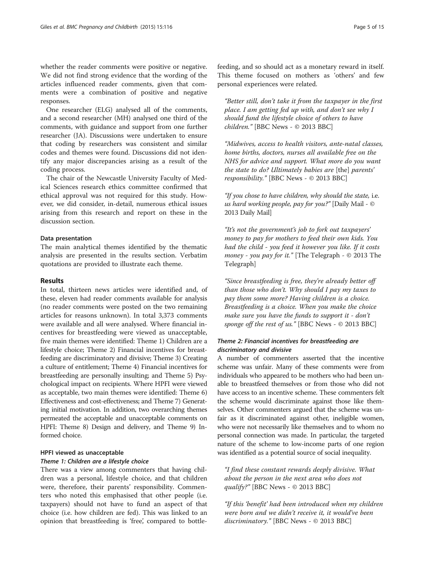whether the reader comments were positive or negative. We did not find strong evidence that the wording of the articles influenced reader comments, given that comments were a combination of positive and negative responses.

One researcher (ELG) analysed all of the comments, and a second researcher (MH) analysed one third of the comments, with guidance and support from one further researcher (JA). Discussions were undertaken to ensure that coding by researchers was consistent and similar codes and themes were found. Discussions did not identify any major discrepancies arising as a result of the coding process.

The chair of the Newcastle University Faculty of Medical Sciences research ethics committee confirmed that ethical approval was not required for this study. However, we did consider, in-detail, numerous ethical issues arising from this research and report on these in the [discussion](#page-9-0) section.

## Data presentation

The main analytical themes identified by the thematic analysis are presented in the results section. Verbatim quotations are provided to illustrate each theme.

### Results

In total, thirteen news articles were identified and, of these, eleven had reader comments available for analysis (no reader comments were posted on the two remaining articles for reasons unknown). In total 3,373 comments were available and all were analysed. Where financial incentives for breastfeeding were viewed as unacceptable, five main themes were identified: Theme 1) Children are a lifestyle choice; Theme 2) Financial incentives for breastfeeding are discriminatory and divisive; Theme 3) Creating a culture of entitlement; Theme 4) Financial incentives for breastfeeding are personally insulting; and Theme 5) Psychological impact on recipients. Where HPFI were viewed as acceptable, two main themes were identified: Theme 6) Effectiveness and cost-effectiveness; and Theme 7) Generating initial motivation. In addition, two overarching themes permeated the acceptable and unacceptable comments on HPFI: Theme 8) Design and delivery, and Theme 9) Informed choice.

#### HPFI viewed as unacceptable

### Theme 1: Children are a lifestyle choice

There was a view among commenters that having children was a personal, lifestyle choice, and that children were, therefore, their parents' responsibility. Commenters who noted this emphasised that other people (i.e. taxpayers) should not have to fund an aspect of that choice (i.e. how children are fed). This was linked to an opinion that breastfeeding is 'free', compared to bottlefeeding, and so should act as a monetary reward in itself. This theme focused on mothers as 'others' and few personal experiences were related.

"Better still, don't take it from the taxpayer in the first place. I am getting fed up with, and don't see why I should fund the lifestyle choice of others to have children." [BBC News - © 2013 BBC]

"Midwives, access to health visitors, ante-natal classes, home births, doctors, nurses all available free on the NHS for advice and support. What more do you want the state to do? Ultimately babies are [the] parents' responsibility." [BBC News - © 2013 BBC]

"If you chose to have children, why should the state, i.e. us hard working people, pay for you?" [Daily Mail - © 2013 Daily Mail]

"It's not the government's job to fork out taxpayers' money to pay for mothers to feed their own kids. You had the child - you feed it however you like. If it costs money - you pay for it." [The Telegraph -  $\odot$  2013 The Telegraph]

"Since breastfeeding is free, they're already better off than those who don't. Why should I pay my taxes to pay them some more? Having children is a choice. Breastfeeding is a choice. When you make the choice make sure you have the funds to support it - don't sponge off the rest of us." [BBC News - © 2013 BBC]

## Theme 2: Financial incentives for breastfeeding are discriminatory and divisive

A number of commenters asserted that the incentive scheme was unfair. Many of these comments were from individuals who appeared to be mothers who had been unable to breastfeed themselves or from those who did not have access to an incentive scheme. These commenters felt the scheme would discriminate against those like themselves. Other commenters argued that the scheme was unfair as it discriminated against other, ineligible women, who were not necessarily like themselves and to whom no personal connection was made. In particular, the targeted nature of the scheme to low-income parts of one region was identified as a potential source of social inequality.

"I find these constant rewards deeply divisive. What about the person in the next area who does not qualify?" [BBC News - © 2013 BBC]

"If this 'benefit' had been introduced when my children were born and we didn't receive it, it would've been discriminatory." [BBC News - © 2013 BBC]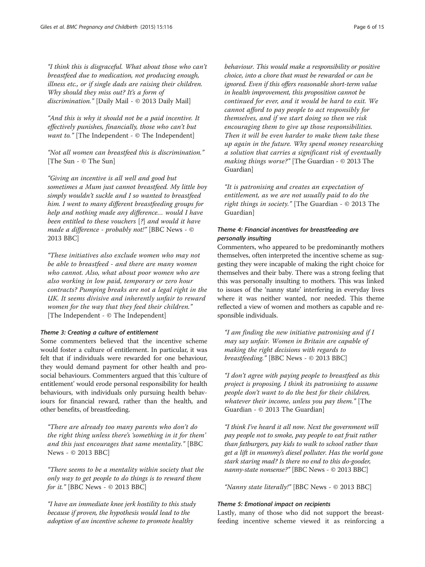"I think this is disgraceful. What about those who can't breastfeed due to medication, not producing enough, illness etc., or if single dads are raising their children. Why should they miss out? It's a form of discrimination." [Daily Mail - © 2013 Daily Mail]

"And this is why it should not be a paid incentive. It effectively punishes, financially, those who can't but want to." [The Independent - © The Independent]

"Not all women can breastfeed this is discrimination." [The Sun - © The Sun]

"Giving an incentive is all well and good but sometimes a Mum just cannot breastfeed. My little boy simply wouldn't suckle and I so wanted to breastfeed him. I went to many different breastfeeding groups for help and nothing made any difference… would I have been entitled to these vouchers [?] and would it have made a difference - probably not!" [BBC News - © 2013 BBC]

"These initiatives also exclude women who may not be able to breastfeed - and there are many women who cannot. Also, what about poor women who are also working in low paid, temporary or zero hour contracts? Pumping breaks are not a legal right in the UK. It seems divisive and inherently unfair to reward women for the way that they feed their children." [The Independent - © The Independent]

## Theme 3: Creating a culture of entitlement

Some commenters believed that the incentive scheme would foster a culture of entitlement. In particular, it was felt that if individuals were rewarded for one behaviour, they would demand payment for other health and prosocial behaviours. Commenters argued that this 'culture of entitlement' would erode personal responsibility for health behaviours, with individuals only pursuing health behaviours for financial reward, rather than the health, and other benefits, of breastfeeding.

"There are already too many parents who don't do the right thing unless there's 'something in it for them' and this just encourages that same mentality." [BBC News - © 2013 BBC]

"There seems to be a mentality within society that the only way to get people to do things is to reward them for it." [BBC News - © 2013 BBC]

"I have an immediate knee jerk hostility to this study because if proven, the hypothesis would lead to the adoption of an incentive scheme to promote healthy

behaviour. This would make a responsibility or positive choice, into a chore that must be rewarded or can be ignored. Even if this offers reasonable short-term value in health improvement, this proposition cannot be continued for ever, and it would be hard to exit. We cannot afford to pay people to act responsibly for themselves, and if we start doing so then we risk encouraging them to give up those responsibilities. Then it will be even harder to make them take these up again in the future. Why spend money researching a solution that carries a significant risk of eventually making things worse?" [The Guardian - © 2013 The Guardian]

"It is patronising and creates an expectation of entitlement, as we are not usually paid to do the right things in society." [The Guardian - © 2013 The Guardian]

## Theme 4: Financial incentives for breastfeeding are personally insulting

Commenters, who appeared to be predominantly mothers themselves, often interpreted the incentive scheme as suggesting they were incapable of making the right choice for themselves and their baby. There was a strong feeling that this was personally insulting to mothers. This was linked to issues of the 'nanny state' interfering in everyday lives where it was neither wanted, nor needed. This theme reflected a view of women and mothers as capable and responsible individuals.

"I am finding the new initiative patronising and if I may say unfair. Women in Britain are capable of making the right decisions with regards to breastfeeding." [BBC News - © 2013 BBC]

"I don't agree with paying people to breastfeed as this project is proposing, I think its patronising to assume people don't want to do the best for their children, whatever their income, unless you pay them." [The Guardian - © 2013 The Guardian]

"I think I've heard it all now. Next the government will pay people not to smoke, pay people to eat fruit rather than fatburgers, pay kids to walk to school rather than get a lift in mummy's diesel polluter. Has the world gone stark staring mad? Is there no end to this do-gooder, nanny-state nonsense?" [BBC News - © 2013 BBC]

"Nanny state literally!" [BBC News - © 2013 BBC]

#### Theme 5: Emotional impact on recipients

Lastly, many of those who did not support the breastfeeding incentive scheme viewed it as reinforcing a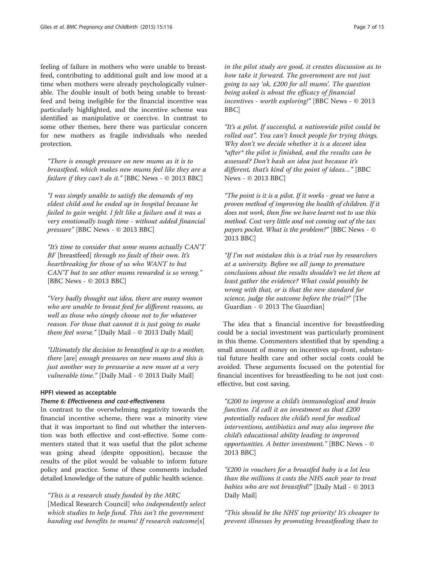feeling of failure in mothers who were unable to breastfeed, contributing to additional guilt and low mood at a time when mothers were already psychologically vulnerable. The double insult of both being unable to breastfeed and being ineligible for the financial incentive was particularly highlighted, and the incentive scheme was identified as manipulative or coercive. In contrast to some other themes, here there was particular concern for new mothers as fragile individuals who needed protection.

"There is enough pressure on new mums as it is to breastfeed, which makes new mums feel like they are a failure if they can't do it." [BBC News -  $\odot$  2013 BBC]

"I was simply unable to satisfy the demands of my eldest child and he ended up in hospital because he failed to gain weight. I felt like a failure and it was a very emotionally tough time - without added financial pressure" [BBC News - © 2013 BBC]

"It's time to consider that some mums actually CAN'T BF [breastfeed] through no fault of their own. It's heartbreaking for those of us who WANT to but CAN'T but to see other mums rewarded is so wrong." [BBC News - © 2013 BBC]

"Very badly thought out idea, there are many women who are unable to breast feed for different reasons, as well as those who simply choose not to for whatever reason. For those that cannot it is just going to make them feel worse." [Daily Mail - © 2013 Daily Mail]

"Ultimately the decision to breastfeed is up to a mother, there [are] enough pressures on new mums and this is just another way to pressurise a new mum at a very vulnerable time." [Daily Mail - © 2013 Daily Mail]

## HPFI viewed as acceptable

## Theme 6: Effectiveness and cost-effectiveness

In contrast to the overwhelming negativity towards the financial incentive scheme, there was a minority view that it was important to find out whether the intervention was both effective and cost-effective. Some commenters stated that it was useful that the pilot scheme was going ahead (despite opposition), because the results of the pilot would be valuable to inform future policy and practice. Some of these comments included detailed knowledge of the nature of public health science.

"This is a research study funded by the MRC

[Medical Research Council] who independently select which studies to help fund. This isn't the government handing out benefits to mums! If research outcome[s]

in the pilot study are good, it creates discussion as to how take it forward. The government are not just going to say 'ok, £200 for all mums'. The question being asked is about the efficacy of financial incentives - worth exploring!" [BBC News - © 2013 BBC]

"It's a pilot. If successful, a nationwide pilot could be rolled out". You can't knock people for trying things. Why don't we decide whether it is a decent idea \*after\* the pilot is finished, and the results can be assessed? Don't bash an idea just because it's different, that's kind of the point of ideas…" [BBC News - © 2013 BBC]

"The point is it is a pilot. If it works - great we have a proven method of improving the health of children. If it does not work, then fine we have learnt not to use this method. Cost very little and not coming out of the tax payers pocket. What is the problem?" [BBC News - © 2013 BBC]

"If I'm not mistaken this is a trial run by researchers at a university. Before we all jump to premature conclusions about the results shouldn't we let them at least gather the evidence? What could possibly be wrong with that, or is that the new standard for science, judge the outcome before the trial?" [The Guardian - © 2013 The Guardian]

The idea that a financial incentive for breastfeeding could be a social investment was particularly prominent in this theme. Commenters identified that by spending a small amount of money on incentives up-front, substantial future health care and other social costs could be avoided. These arguments focused on the potential for financial incentives for breastfeeding to be not just costeffective, but cost saving.

"£200 to improve a child's immunological and brain function. I'd call it an investment as that £200 potentially reduces the child's need for medical interventions, antibiotics and may also improve the child's educational ability leading to improved opportunities. A better investment." [BBC News - © 2013 BBC]

"£200 in vouchers for a breastfed baby is a lot less than the millions it costs the NHS each year to treat babies who are not breastfed!" [Daily Mail - © 2013 Daily Mail]

"This should be the NHS' top priority! It's cheaper to prevent illnesses by promoting breastfeeding than to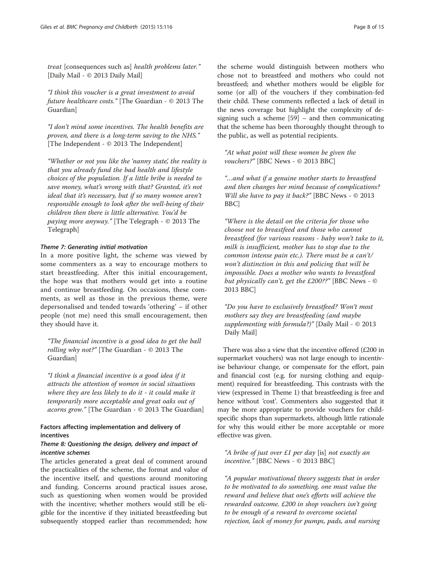treat [consequences such as] health problems later." [Daily Mail - © 2013 Daily Mail]

"I think this voucher is a great investment to avoid future healthcare costs." [The Guardian - © 2013 The Guardian]

"I don't mind some incentives. The health benefits are proven, and there is a long-term saving to the NHS." [The Independent - © 2013 The Independent]

"Whether or not you like the 'nanny state', the reality is that you already fund the bad health and lifestyle choices of the population. If a little bribe is needed to save money, what's wrong with that? Granted, it's not ideal that it's necessary, but if so many women aren't responsible enough to look after the well-being of their children then there is little alternative. You'd be paying more anyway." [The Telegraph - © 2013 The Telegraph]

#### Theme 7: Generating initial motivation

In a more positive light, the scheme was viewed by some commenters as a way to encourage mothers to start breastfeeding. After this initial encouragement, the hope was that mothers would get into a routine and continue breastfeeding. On occasions, these comments, as well as those in the previous theme, were depersonalised and tended towards 'othering' – if other people (not me) need this small encouragement, then they should have it.

"The financial incentive is a good idea to get the ball rolling why not?" [The Guardian - © 2013 The Guardian]

"I think a financial incentive is a good idea if it attracts the attention of women in social situations where they are less likely to do it - it could make it temporarily more acceptable and great oaks out of acorns grow." [The Guardian - © 2013 The Guardian]

## Factors affecting implementation and delivery of incentives

## Theme 8: Questioning the design, delivery and impact of incentive schemes

The articles generated a great deal of comment around the practicalities of the scheme, the format and value of the incentive itself, and questions around monitoring and funding. Concerns around practical issues arose, such as questioning when women would be provided with the incentive; whether mothers would still be eligible for the incentive if they initiated breastfeeding but subsequently stopped earlier than recommended; how

the scheme would distinguish between mothers who chose not to breastfeed and mothers who could not breastfeed; and whether mothers would be eligible for some (or all) of the vouchers if they combination-fed their child. These comments reflected a lack of detail in the news coverage but highlight the complexity of designing such a scheme  $[59]$  $[59]$  $[59]$  – and then communicating that the scheme has been thoroughly thought through to the public, as well as potential recipients.

"At what point will these women be given the vouchers?" [BBC News - © 2013 BBC]

"…and what if a genuine mother starts to breastfeed and then changes her mind because of complications? Will she have to pay it back?" [BBC News - © 2013 BBC]

"Where is the detail on the criteria for those who choose not to breastfeed and those who cannot breastfeed (for various reasons - baby won't take to it, milk is insufficient, mother has to stop due to the common intense pain etc.). There must be a can't/ won't distinction in this and policing that will be impossible. Does a mother who wants to breastfeed but physically can't, get the £200??" [BBC News - © 2013 BBC]

"Do you have to exclusively breastfeed? Won't most mothers say they are breastfeeding (and maybe supplementing with formula?)" [Daily Mail - © 2013 Daily Mail]

There was also a view that the incentive offered (£200 in supermarket vouchers) was not large enough to incentivise behaviour change, or compensate for the effort, pain and financial cost (e.g. for nursing clothing and equipment) required for breastfeeding. This contrasts with the view (expressed in Theme 1) that breastfeeding is free and hence without 'cost'. Commenters also suggested that it may be more appropriate to provide vouchers for childspecific shops than supermarkets, although little rationale for why this would either be more acceptable or more effective was given.

"A bribe of just over  $E1$  per day [is] not exactly an incentive." [BBC News - © 2013 BBC]

"A popular motivational theory suggests that in order to be motivated to do something, one must value the reward and believe that one's efforts will achieve the rewarded outcome. £200 in shop vouchers isn't going to be enough of a reward to overcome societal rejection, lack of money for pumps, pads, and nursing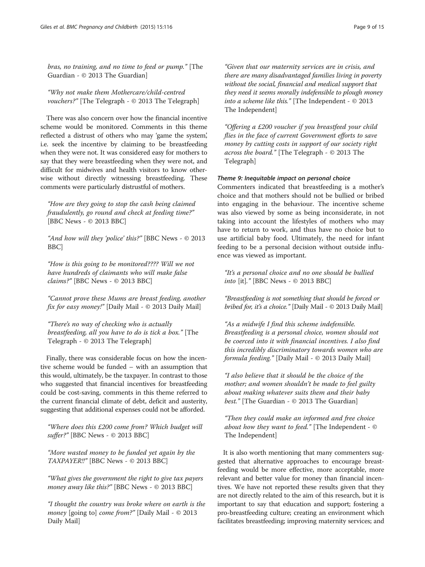bras, no training, and no time to feed or pump." [The Guardian - © 2013 The Guardian]

"Why not make them Mothercare/child-centred vouchers?" [The Telegraph - © 2013 The Telegraph]

There was also concern over how the financial incentive scheme would be monitored. Comments in this theme reflected a distrust of others who may 'game the system', i.e. seek the incentive by claiming to be breastfeeding when they were not. It was considered easy for mothers to say that they were breastfeeding when they were not, and difficult for midwives and health visitors to know otherwise without directly witnessing breastfeeding. These comments were particularly distrustful of mothers.

"How are they going to stop the cash being claimed fraudulently, go round and check at feeding time?" [BBC News - © 2013 BBC]

"And how will they 'police' this?" [BBC News - © 2013 BBC]

"How is this going to be monitored???? Will we not have hundreds of claimants who will make false claims?" [BBC News - © 2013 BBC]

"Cannot prove these Mums are breast feeding, another fix for easy money!" [Daily Mail - © 2013 Daily Mail]

"There's no way of checking who is actually breastfeeding, all you have to do is tick a box." [The Telegraph - © 2013 The Telegraph]

Finally, there was considerable focus on how the incentive scheme would be funded – with an assumption that this would, ultimately, be the taxpayer. In contrast to those who suggested that financial incentives for breastfeeding could be cost-saving, comments in this theme referred to the current financial climate of debt, deficit and austerity, suggesting that additional expenses could not be afforded.

"Where does this £200 come from? Which budget will suffer?" [BBC News - © 2013 BBC]

"More wasted money to be funded yet again by the TAXPAYER!!" [BBC News - © 2013 BBC]

"What gives the government the right to give tax payers money away like this?" [BBC News - © 2013 BBC]

"I thought the country was broke where on earth is the money [going to] come from?" [Daily Mail - © 2013 Daily Mail]

"Given that our maternity services are in crisis, and there are many disadvantaged families living in poverty without the social, financial and medical support that they need it seems morally indefensible to plough money into a scheme like this." [The Independent - © 2013 The Independent]

"Offering a £200 voucher if you breastfeed your child flies in the face of current Government efforts to save money by cutting costs in support of our society right across the board." [The Telegraph - © 2013 The Telegraph]

## Theme 9: Inequitable impact on personal choice

Commenters indicated that breastfeeding is a mother's choice and that mothers should not be bullied or bribed into engaging in the behaviour. The incentive scheme was also viewed by some as being inconsiderate, in not taking into account the lifestyles of mothers who may have to return to work, and thus have no choice but to use artificial baby food. Ultimately, the need for infant feeding to be a personal decision without outside influence was viewed as important.

"It's a personal choice and no one should be bullied into [it]." [BBC News - © 2013 BBC]

"Breastfeeding is not something that should be forced or bribed for, it's a choice." [Daily Mail - © 2013 Daily Mail]

"As a midwife I find this scheme indefensible. Breastfeeding is a personal choice, women should not be coerced into it with financial incentives. I also find this incredibly discriminatory towards women who are formula feeding." [Daily Mail - © 2013 Daily Mail]

"I also believe that it should be the choice of the mother; and women shouldn't be made to feel guilty about making whatever suits them and their baby best." [The Guardian - © 2013 The Guardian]

"Then they could make an informed and free choice about how they want to feed." [The Independent - © The Independent]

It is also worth mentioning that many commenters suggested that alternative approaches to encourage breastfeeding would be more effective, more acceptable, more relevant and better value for money than financial incentives. We have not reported these results given that they are not directly related to the aim of this research, but it is important to say that education and support; fostering a pro-breastfeeding culture; creating an environment which facilitates breastfeeding; improving maternity services; and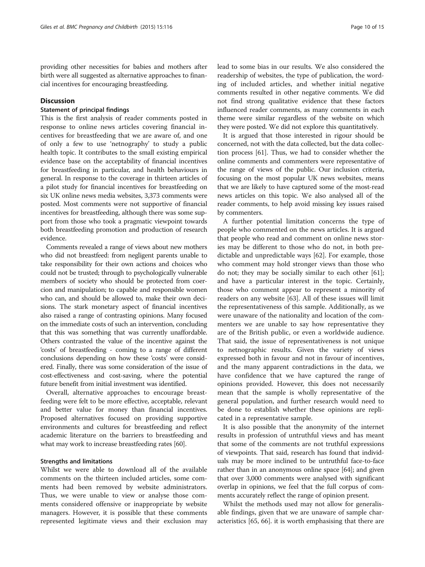<span id="page-9-0"></span>providing other necessities for babies and mothers after birth were all suggested as alternative approaches to financial incentives for encouraging breastfeeding.

## **Discussion**

## Statement of principal findings

This is the first analysis of reader comments posted in response to online news articles covering financial incentives for breastfeeding that we are aware of, and one of only a few to use 'netnography' to study a public health topic. It contributes to the small existing empirical evidence base on the acceptability of financial incentives for breastfeeding in particular, and health behaviours in general. In response to the coverage in thirteen articles of a pilot study for financial incentives for breastfeeding on six UK online news media websites, 3,373 comments were posted. Most comments were not supportive of financial incentives for breastfeeding, although there was some support from those who took a pragmatic viewpoint towards both breastfeeding promotion and production of research evidence.

Comments revealed a range of views about new mothers who did not breastfeed: from negligent parents unable to take responsibility for their own actions and choices who could not be trusted; through to psychologically vulnerable members of society who should be protected from coercion and manipulation; to capable and responsible women who can, and should be allowed to, make their own decisions. The stark monetary aspect of financial incentives also raised a range of contrasting opinions. Many focused on the immediate costs of such an intervention, concluding that this was something that was currently unaffordable. Others contrasted the value of the incentive against the 'costs' of breastfeeding - coming to a range of different conclusions depending on how these 'costs' were considered. Finally, there was some consideration of the issue of cost-effectiveness and cost-saving, where the potential future benefit from initial investment was identified.

Overall, alternative approaches to encourage breastfeeding were felt to be more effective, acceptable, relevant and better value for money than financial incentives. Proposed alternatives focused on providing supportive environments and cultures for breastfeeding and reflect academic literature on the barriers to breastfeeding and what may work to increase breastfeeding rates [[60](#page-13-0)].

## Strengths and limitations

Whilst we were able to download all of the available comments on the thirteen included articles, some comments had been removed by website administrators. Thus, we were unable to view or analyse those comments considered offensive or inappropriate by website managers. However, it is possible that these comments represented legitimate views and their exclusion may lead to some bias in our results. We also considered the readership of websites, the type of publication, the wording of included articles, and whether initial negative comments resulted in other negative comments. We did not find strong qualitative evidence that these factors influenced reader comments, as many comments in each theme were similar regardless of the website on which they were posted. We did not explore this quantitatively.

It is argued that those interested in rigour should be concerned, not with the data collected, but the data collection process [\[61\]](#page-13-0). Thus, we had to consider whether the online comments and commenters were representative of the range of views of the public. Our inclusion criteria, focusing on the most popular UK news websites, means that we are likely to have captured some of the most-read news articles on this topic. We also analysed all of the reader comments, to help avoid missing key issues raised by commenters.

A further potential limitation concerns the type of people who commented on the news articles. It is argued that people who read and comment on online news stories may be different to those who do not, in both predictable and unpredictable ways [\[62](#page-13-0)]. For example, those who comment may hold stronger views than those who do not; they may be socially similar to each other [\[61](#page-13-0)]; and have a particular interest in the topic. Certainly, those who comment appear to represent a minority of readers on any website [[63](#page-13-0)]. All of these issues will limit the representativeness of this sample. Additionally, as we were unaware of the nationality and location of the commenters we are unable to say how representative they are of the British public, or even a worldwide audience. That said, the issue of representativeness is not unique to netnographic results. Given the variety of views expressed both in favour and not in favour of incentives, and the many apparent contradictions in the data, we have confidence that we have captured the range of opinions provided. However, this does not necessarily mean that the sample is wholly representative of the general population, and further research would need to be done to establish whether these opinions are replicated in a representative sample.

It is also possible that the anonymity of the internet results in profession of untruthful views and has meant that some of the comments are not truthful expressions of viewpoints. That said, research has found that individuals may be more inclined to be untruthful face-to-face rather than in an anonymous online space [[64](#page-13-0)]; and given that over 3,000 comments were analysed with significant overlap in opinions, we feel that the full corpus of comments accurately reflect the range of opinion present.

Whilst the methods used may not allow for generalisable findings, given that we are unaware of sample characteristics [\[65, 66\]](#page-13-0). it is worth emphasising that there are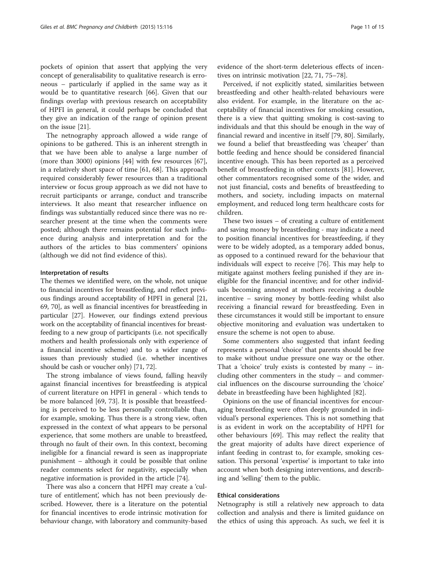pockets of opinion that assert that applying the very concept of generalisability to qualitative research is erroneous – particularly if applied in the same way as it would be to quantitative research [[66](#page-13-0)]. Given that our findings overlap with previous research on acceptability of HPFI in general, it could perhaps be concluded that they give an indication of the range of opinion present on the issue [[21\]](#page-12-0).

The netnography approach allowed a wide range of opinions to be gathered. This is an inherent strength in that we have been able to analyse a large number of (more than 3000) opinions [[44\]](#page-13-0) with few resources [\[67](#page-13-0)], in a relatively short space of time [[61, 68\]](#page-13-0). This approach required considerably fewer resources than a traditional interview or focus group approach as we did not have to recruit participants or arrange, conduct and transcribe interviews. It also meant that researcher influence on findings was substantially reduced since there was no researcher present at the time when the comments were posted; although there remains potential for such influence during analysis and interpretation and for the authors of the articles to bias commenters' opinions (although we did not find evidence of this).

## Interpretation of results

The themes we identified were, on the whole, not unique to financial incentives for breastfeeding, and reflect previous findings around acceptability of HPFI in general [[21](#page-12-0), [69](#page-13-0), [70](#page-13-0)], as well as financial incentives for breastfeeding in particular [[27](#page-12-0)]. However, our findings extend previous work on the acceptability of financial incentives for breastfeeding to a new group of participants (i.e. not specifically mothers and health professionals only with experience of a financial incentive scheme) and to a wider range of issues than previously studied (i.e. whether incentives should be cash or voucher only) [\[71](#page-13-0), [72](#page-13-0)].

The strong imbalance of views found, falling heavily against financial incentives for breastfeeding is atypical of current literature on HPFI in general - which tends to be more balanced [[69, 73\]](#page-13-0). It is possible that breastfeeding is perceived to be less personally controllable than, for example, smoking. Thus there is a strong view, often expressed in the context of what appears to be personal experience, that some mothers are unable to breastfeed, through no fault of their own. In this context, becoming ineligible for a financial reward is seen as inappropriate punishment – although it could be possible that online reader comments select for negativity, especially when negative information is provided in the article [[74\]](#page-13-0).

There was also a concern that HPFI may create a 'culture of entitlement', which has not been previously described. However, there is a literature on the potential for financial incentives to erode intrinsic motivation for behaviour change, with laboratory and community-based

evidence of the short-term deleterious effects of incentives on intrinsic motivation [\[22](#page-12-0), [71](#page-13-0), [75](#page-13-0)–[78\]](#page-13-0).

Perceived, if not explicitly stated, similarities between breastfeeding and other health-related behaviours were also evident. For example, in the literature on the acceptability of financial incentives for smoking cessation, there is a view that quitting smoking is cost-saving to individuals and that this should be enough in the way of financial reward and incentive in itself [[79](#page-13-0), [80](#page-13-0)]. Similarly, we found a belief that breastfeeding was 'cheaper' than bottle feeding and hence should be considered financial incentive enough. This has been reported as a perceived benefit of breastfeeding in other contexts [\[81\]](#page-13-0). However, other commentators recognised some of the wider, and not just financial, costs and benefits of breastfeeding to mothers, and society, including impacts on maternal employment, and reduced long term healthcare costs for children.

These two issues – of creating a culture of entitlement and saving money by breastfeeding - may indicate a need to position financial incentives for breastfeeding, if they were to be widely adopted, as a temporary added bonus, as opposed to a continued reward for the behaviour that individuals will expect to receive [[76\]](#page-13-0). This may help to mitigate against mothers feeling punished if they are ineligible for the financial incentive; and for other individuals becoming annoyed at mothers receiving a double incentive – saving money by bottle-feeding whilst also receiving a financial reward for breastfeeding. Even in these circumstances it would still be important to ensure objective monitoring and evaluation was undertaken to ensure the scheme is not open to abuse.

Some commenters also suggested that infant feeding represents a personal 'choice' that parents should be free to make without undue pressure one way or the other. That a 'choice' truly exists is contested by many – including other commenters in the study – and commercial influences on the discourse surrounding the 'choice' debate in breastfeeding have been highlighted [\[82\]](#page-13-0).

Opinions on the use of financial incentives for encouraging breastfeeding were often deeply grounded in individual's personal experiences. This is not something that is as evident in work on the acceptability of HPFI for other behaviours [\[69](#page-13-0)]. This may reflect the reality that the great majority of adults have direct experience of infant feeding in contrast to, for example, smoking cessation. This personal 'expertise' is important to take into account when both designing interventions, and describing and 'selling' them to the public.

#### Ethical considerations

Netnography is still a relatively new approach to data collection and analysis and there is limited guidance on the ethics of using this approach. As such, we feel it is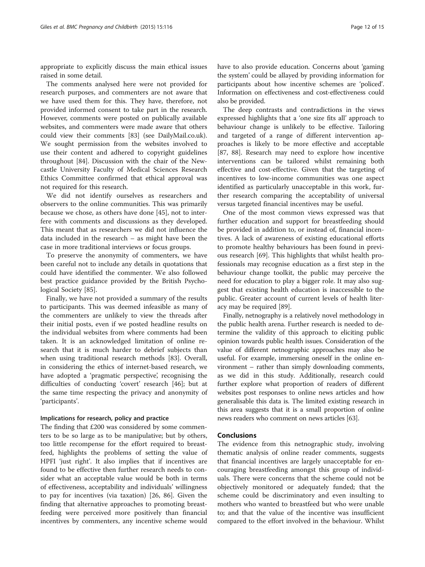appropriate to explicitly discuss the main ethical issues raised in some detail.

The comments analysed here were not provided for research purposes, and commenters are not aware that we have used them for this. They have, therefore, not provided informed consent to take part in the research. However, comments were posted on publically available websites, and commenters were made aware that others could view their comments [[83\]](#page-13-0) (see DailyMail.co.uk). We sought permission from the websites involved to use their content and adhered to copyright guidelines throughout [[84\]](#page-14-0). Discussion with the chair of the Newcastle University Faculty of Medical Sciences Research Ethics Committee confirmed that ethical approval was not required for this research.

We did not identify ourselves as researchers and observers to the online communities. This was primarily because we chose, as others have done [[45\]](#page-13-0), not to interfere with comments and discussions as they developed. This meant that as researchers we did not influence the data included in the research – as might have been the case in more traditional interviews or focus groups.

To preserve the anonymity of commenters, we have been careful not to include any details in quotations that could have identified the commenter. We also followed best practice guidance provided by the British Psychological Society [\[85\]](#page-14-0).

Finally, we have not provided a summary of the results to participants. This was deemed infeasible as many of the commenters are unlikely to view the threads after their initial posts, even if we posted headline results on the individual websites from where comments had been taken. It is an acknowledged limitation of online research that it is much harder to debrief subjects than when using traditional research methods [[83\]](#page-13-0). Overall, in considering the ethics of internet-based research, we have adopted a 'pragmatic perspective', recognising the difficulties of conducting 'covert' research [\[46\]](#page-13-0); but at the same time respecting the privacy and anonymity of 'participants'.

#### Implications for research, policy and practice

The finding that £200 was considered by some commenters to be so large as to be manipulative; but by others, too little recompense for the effort required to breastfeed, highlights the problems of setting the value of HPFI 'just right'. It also implies that if incentives are found to be effective then further research needs to consider what an acceptable value would be both in terms of effectiveness, acceptability and individuals' willingness to pay for incentives (via taxation) [[26,](#page-12-0) [86](#page-14-0)]. Given the finding that alternative approaches to promoting breastfeeding were perceived more positively than financial incentives by commenters, any incentive scheme would have to also provide education. Concerns about 'gaming the system' could be allayed by providing information for participants about how incentive schemes are 'policed'. Information on effectiveness and cost-effectiveness could also be provided.

The deep contrasts and contradictions in the views expressed highlights that a 'one size fits all' approach to behaviour change is unlikely to be effective. Tailoring and targeted of a range of different intervention approaches is likely to be more effective and acceptable [[87, 88](#page-14-0)]. Research may need to explore how incentive interventions can be tailored whilst remaining both effective and cost-effective. Given that the targeting of incentives to low-income communities was one aspect identified as particularly unacceptable in this work, further research comparing the acceptability of universal versus targeted financial incentives may be useful.

One of the most common views expressed was that further education and support for breastfeeding should be provided in addition to, or instead of, financial incentives. A lack of awareness of existing educational efforts to promote healthy behaviours has been found in previous research [[69](#page-13-0)]. This highlights that whilst health professionals may recognise education as a first step in the behaviour change toolkit, the public may perceive the need for education to play a bigger role. It may also suggest that existing health education is inaccessible to the public. Greater account of current levels of health literacy may be required [[89\]](#page-14-0).

Finally, netnography is a relatively novel methodology in the public health arena. Further research is needed to determine the validity of this approach to eliciting public opinion towards public health issues. Consideration of the value of different netnographic approaches may also be useful. For example, immersing oneself in the online environment – rather than simply downloading comments, as we did in this study. Additionally, research could further explore what proportion of readers of different websites post responses to online news articles and how generalisable this data is. The limited existing research in this area suggests that it is a small proportion of online news readers who comment on news articles [[63\]](#page-13-0).

### Conclusions

The evidence from this netnographic study, involving thematic analysis of online reader comments, suggests that financial incentives are largely unacceptable for encouraging breastfeeding amongst this group of individuals. There were concerns that the scheme could not be objectively monitored or adequately funded; that the scheme could be discriminatory and even insulting to mothers who wanted to breastfeed but who were unable to; and that the value of the incentive was insufficient compared to the effort involved in the behaviour. Whilst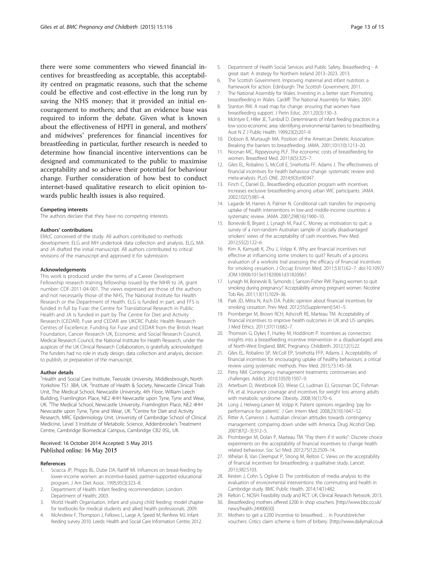<span id="page-12-0"></span>there were some commenters who viewed financial incentives for breastfeeding as acceptable, this acceptability centred on pragmatic reasons, such that the scheme could be effective and cost-effective in the long run by saving the NHS money; that it provided an initial encouragement to mothers; and that an evidence base was required to inform the debate. Given what is known about the effectiveness of HPFI in general, and mothers' and midwives' preferences for financial incentives for breastfeeding in particular, further research is needed to determine how financial incentive interventions can be designed and communicated to the public to maximise acceptability and so achieve their potential for behaviour change. Further consideration of how best to conduct internet-based qualitative research to elicit opinion towards public health issues is also required.

#### Competing interests

The authors declare that they have no competing interests.

#### Authors' contributions

EMcC conceived of the study. All authors contributed to methods development. ELG and MH undertook data collection and analysis. ELG, MA and JA drafted the initial manuscript. All authors contributed to critical revisions of the manuscript and approved it for submission.

#### Acknowledgements

This work is produced under the terms of a Career Development Fellowship research training fellowship issued by the NIHR to JA, grant number: CDF-2011-04-001. The views expressed are those of the authors and not necessarily those of the NHS, The National Institute for Health Research or the Department of Health. ELG is funded in part, and FFS is funded in full by Fuse: the Centre for Translational Research in Public Health and JA is funded in part by The Centre for Diet and Activity Research (CEDAR). Fuse and CEDAR are UKCRC Public Health Research Centres of Excellence. Funding for Fuse and CEDAR from the British Heart Foundation, Cancer Research UK, Economic and Social Research Council, Medical Research Council, the National Institute for Health Research, under the auspices of the UK Clinical Research Collaboration, is gratefully acknowledged. The funders had no role in study design, data collection and analysis, decision to publish, or preparation of the manuscript.

#### Author details

<sup>1</sup>Health and Social Care Institute, Teesside University, Middlesbrough, North Yorkshire TS1 3BA, UK. <sup>2</sup>Institute of Health & Society, Newcastle Clinical Trials Unit, The Medical School, Newcastle University, 4th Floor, William Leech Building, Framlington Place, NE2 4HH Newcastle upon Tyne, Tyne and Wear, UK. <sup>3</sup>The Medical School, Newcastle University, Framlington Place, NE2 4HH Newcastle upon Tyne, Tyne and Wear, UK. <sup>4</sup>Centre for Diet and Activity Research, MRC Epidemiology Unit, University of Cambridge School of Clinical Medicine, Level 3 Institute of Metabolic Science, Addenbrooke's Treatment Centre, Cambridge Biomedical Campus, Cambridge CB2 0SL, UK.

#### Received: 16 October 2014 Accepted: 5 May 2015 Published online: 16 May 2015

#### References

- 1. Sciacca JP, Phipps BL, Dube DA, Ratliff MI. Influences on breast-feeding by lower-income women: an incentive-based, partner-supported educational program. J Am Diet Assoc. 1995;95(3):323–8.
- 2. Department of Health. Infant feeding recommendation. London: Department of Health; 2003.
- 3. World Health Organisation. Infant and young child feeding: model chapter for textbooks for medical students and allied health professionals. 2009.
- 4. McAndrew F, Thompson J, Fellows L, Large A, Speed M, Renfrew MJ. Infant feeding survey 2010. Leeds: Health and Social Care Information Centre; 2012.
- 5. Department of Health Social Services and Public Safety. Breastfeeding A great start: A strategy for Northern Ireland 2013–2023. 2013.
- 6. The Scottish Government. Improving maternal and infant nutrition: a framework for action. Edinburgh: The Scottish Government; 2011.
- 7. The National Assembly for Wales. Investing in a better start: Promoting breastfeeding in Wales. Cardiff: The National Assembly for Wales; 2001.
- 8. Stanton RW. A road map for change: ensuring that women have breastfeeding support. J Perin Educ. 2011;20(3):130–3.
- 9. McIntyre E, Hiller JE, Turnbull D. Determinants of infant feeding practices in a low socio-economic area: identifying environmental barriers to breastfeeding. Aust N Z J Public Health. 1999;23(2):207–9.
- 10. Dobson B, Murtaugh MA. Position of the American Dietetic Association: Breaking the barriers to breastfeeding. JAMA. 2001;101(10):1213–20.
- 11. Noonan MC, Rippeyoung PLF. The economic costs of breastfeeding for women. Breastfeed Med. 2011;6(5):325–7.
- 12. Giles EL, Robalino S, McColl E, Sniehotta FF, Adams J. The effectiveness of financial incentives for health behaviour change: systematic review and meta-analysis. PLoS ONE. 2014;9(3):e90347.
- 13. Finch C, Daniel EL. Breastfeeding education program with incentives increases exclusive breastfeeding among urban WIC participants. JAMA. 2002;102(7):981–4.
- 14. Lagarde M, Haines A, Palmer N. Conditional cash transfers for improving uptake of health interventions in low-and middle-income countries: a systematic review. JAMA. 2007;298(16):1900–10.
- 15. Bonevski B, Bryant J, Lynagh M, Paul C. Money as motivation to quit: a survey of a non-random Australian sample of socially disadvantaged smokers' views of the acceptability of cash incentives. Prev Med. 2012;55(2):122–6.
- 16. Kim A, Kamyab K, Zhu J, Volpp K. Why are financial incentives not effective at influencing some smokers to quit? Results of a process evaluation of a worksite trial assessing the efficacy of financial incentives for smoking cessation. J Occup Environ Med. 2011;53(1):62–7. doi[:10.1097/](http://dx.doi.org/10.1097/JOM.1090b1013e31820061d31820067) [JOM.1090b1013e31820061d31820067.](http://dx.doi.org/10.1097/JOM.1090b1013e31820061d31820067)
- 17. Lynagh M, Bonevski B, Symonds I, Sanson-Fisher RW. Paying women to quit smoking during pregnancy? Acceptability among pregnant women. Nicotine Tob Res. 2011;13(11):1029–36.
- 18. Park JD, Mitra N, Asch DA. Public opinion about financial incentives for smoking cessation. Prev Med. 2012;55(Supplement):S41–5.
- 19. Promberger M, Brown RCH, Ashcroft RE, Marteau TM. Acceptability of financial incentives to improve health outcomes in UK and US samples. J Med Ethics. 2011;37(11):682–7.
- 20. Thomson G, Dykes F, Hurley M, Hoddinott P. Incentives as connectors: insights into a breastfeeding incentive intervention in a disadvantaged area of North-West England. BMC Pregnancy Childbirth. 2012;12(1):22.
- 21. Giles EL, Robalino SP, McColl EP, Sniehotta FFP, Adams J. Acceptability of financial incentives for encouraging uptake of healthy behaviours: a critical review using systematic methods. Prev Med. 2015;73:145–58.
- 22. Petry NM. Contingency management treatments: controversies and challenges. Addict. 2010;105(9):1507–9.
- 23. Arterburn D, Westbrook EO, Wiese CJ, Ludman EJ, Grossman DC, Fishman PA, et al. Insurance coverage and incentives for weight loss among adults with metabolic syndrome. Obesity. 2008;16(1):70–6.
- 24. Long J, Helweg-Larsen M, Volpp K. Patient opinions regarding 'pay for performance for patients'. J Gen Intern Med. 2008;23(10):1647–52.
- 25. Ritter A, Cameron J. Australian clinician attitudes towards contingency management: comparing down under with America. Drug Alcohol Dep. 2007;87(2–3):312–5.
- 26. Promberger M, Dolan P, Marteau TM. "Pay them if it works": Discrete choice experiments on the acceptability of financial incentives to change health related behaviour. Soc Sci Med. 2012;75(12):2509–14.
- 27. Whelan B, Van Cleemput P, Strong M, Relton C. Views on the acceptability of financial incentives for breastfeeding: a qualitative study. Lancet. 2013;382:S103.
- 28. Kesten J, Cohn S, Ogilvie D. The contribution of media analysis to the evaluation of environmental interventions: the commuting and health in Cambridge study. BMC Public Health. 2014;14(1):482.
- 29. Relton C. NOSH: Feasibility study and RCT. UK: Clinical Research Network; 2013.
- 30. Breastfeeding mothers offered £200 in shop vouchers. [[http://www.bbc.co.uk/](http://www.bbc.co.uk/news/health-24900650) [news/health-24900650](http://www.bbc.co.uk/news/health-24900650)]
- 31. Mothers to get a £200 incentive to breastfeed… in Poundstretcher vouchers: Critics claim scheme is form of bribery. [[http://www.dailymail.co.uk](http://www.dailymail.co.uk/news/article-2501812/Mothers-200-incentive-breastfeed%2D-Poundstretcher-vouchers-Critics-claim-scheme-form-bribery.html)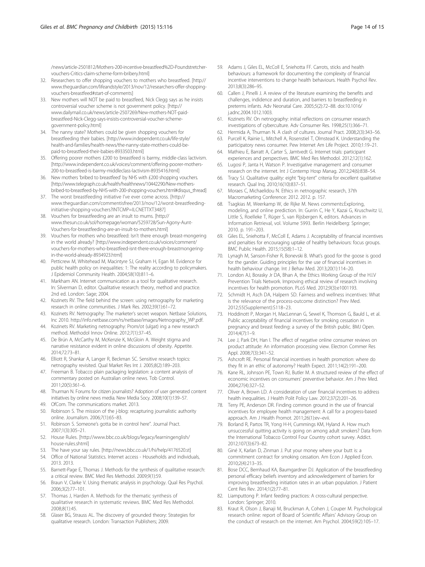<span id="page-13-0"></span>[/news/article-2501812/Mothers-200-incentive-breastfeed%2D-Poundstretcher](http://www.dailymail.co.uk/news/article-2501812/Mothers-200-incentive-breastfeed%2D-Poundstretcher-vouchers-Critics-claim-scheme-form-bribery.html)[vouchers-Critics-claim-scheme-form-bribery.html\]](http://www.dailymail.co.uk/news/article-2501812/Mothers-200-incentive-breastfeed%2D-Poundstretcher-vouchers-Critics-claim-scheme-form-bribery.html)

- 32. Researchers to offer shopping vouchers to mothers who breastfeed. [[http://](http://www.theguardian.com/lifeandstyle/2013/nov/12/researchers-offer-shopping-vouchers-breastfeed#start-of-comments) [www.theguardian.com/lifeandstyle/2013/nov/12/researchers-offer-shopping](http://www.theguardian.com/lifeandstyle/2013/nov/12/researchers-offer-shopping-vouchers-breastfeed#start-of-comments)[vouchers-breastfeed#start-of-comments\]](http://www.theguardian.com/lifeandstyle/2013/nov/12/researchers-offer-shopping-vouchers-breastfeed#start-of-comments)
- 33. New mothers will NOT be paid to breastfeed, Nick Clegg says as he insists controversial voucher scheme is not government policy. [[http://](http://www.dailymail.co.uk/news/article-2507269/New-mothers-NOT-paid-breastfeed-Nick-Clegg-says-insists-controversial-voucher-scheme-government-policy.html) [www.dailymail.co.uk/news/article-2507269/New-mothers-NOT-paid](http://www.dailymail.co.uk/news/article-2507269/New-mothers-NOT-paid-breastfeed-Nick-Clegg-says-insists-controversial-voucher-scheme-government-policy.html)[breastfeed-Nick-Clegg-says-insists-controversial-voucher-scheme](http://www.dailymail.co.uk/news/article-2507269/New-mothers-NOT-paid-breastfeed-Nick-Clegg-says-insists-controversial-voucher-scheme-government-policy.html)[government-policy.html](http://www.dailymail.co.uk/news/article-2507269/New-mothers-NOT-paid-breastfeed-Nick-Clegg-says-insists-controversial-voucher-scheme-government-policy.html)]
- The nanny state? Mothers could be given shopping vouchers for breastfeeding their babies. [\[http://www.independent.co.uk/life-style/](http://www.independent.co.uk/life-style/health-and-families/health-news/the-nanny-state-mothers-could-be-paid-to-breastfeed-their-babies-8933503.html) [health-and-families/health-news/the-nanny-state-mothers-could-be](http://www.independent.co.uk/life-style/health-and-families/health-news/the-nanny-state-mothers-could-be-paid-to-breastfeed-their-babies-8933503.html)[paid-to-breastfeed-their-babies-8933503.html\]](http://www.independent.co.uk/life-style/health-and-families/health-news/the-nanny-state-mothers-could-be-paid-to-breastfeed-their-babies-8933503.html)
- 35. Offering poorer mothers £200 to breastfeed is barmy, middle-class lactivism. [[http://www.independent.co.uk/voices/comment/offering-poorer-mothers-](http://www.independent.co.uk/voices/comment/offering-poorer-mothers-200-to-breastfeed-is-barmy-middleclass-lactivism-8935416.html)[200-to-breastfeed-is-barmy-middleclass-lactivism-8935416.html\]](http://www.independent.co.uk/voices/comment/offering-poorer-mothers-200-to-breastfeed-is-barmy-middleclass-lactivism-8935416.html)
- 36. New mothers 'bribed to breastfeed' by NHS with £200 shopping vouchers. [\[http://www.telegraph.co.uk/health/healthnews/10442290/New-mothers](http://www.telegraph.co.uk/health/healthnews/10442290/New-mothers-bribed-to-breastfeed-by-NHS-with-200-shopping-vouchers.html#disqus_thread)[bribed-to-breastfeed-by-NHS-with-200-shopping-vouchers.html#disqus\\_thread\]](http://www.telegraph.co.uk/health/healthnews/10442290/New-mothers-bribed-to-breastfeed-by-NHS-with-200-shopping-vouchers.html#disqus_thread)
- 37. The worst breastfeeding initiative I've ever come across. [[http://](http://www.theguardian.com/commentisfree/2013/nov/12/worst-breastfeeding-initiative-shopping-vouchers?INTCMP=ILCNETTXT3487) [www.theguardian.com/commentisfree/2013/nov/12/worst-breastfeeding](http://www.theguardian.com/commentisfree/2013/nov/12/worst-breastfeeding-initiative-shopping-vouchers?INTCMP=ILCNETTXT3487)[initiative-shopping-vouchers?INTCMP=ILCNETTXT3487](http://www.theguardian.com/commentisfree/2013/nov/12/worst-breastfeeding-initiative-shopping-vouchers?INTCMP=ILCNETTXT3487)]
- 38. Vouchers for breastfeeding are an insult to mums. [\[http://](http://www.thesun.co.uk/sol/homepage/woman/5259728/Sun-Agony-Aunt-Vouchers-for-breastfeeding-are-an-insult-to-mothers.html) [www.thesun.co.uk/sol/homepage/woman/5259728/Sun-Agony-Aunt-](http://www.thesun.co.uk/sol/homepage/woman/5259728/Sun-Agony-Aunt-Vouchers-for-breastfeeding-are-an-insult-to-mothers.html)[Vouchers-for-breastfeeding-are-an-insult-to-mothers.html\]](http://www.thesun.co.uk/sol/homepage/woman/5259728/Sun-Agony-Aunt-Vouchers-for-breastfeeding-are-an-insult-to-mothers.html)
- 39. Vouchers for mothers who breastfeed: Isn't there enough breast-mongering in the world already? [\[http://www.independent.co.uk/voices/comment/](http://www.independent.co.uk/voices/comment/vouchers-for-mothers-who-breastfeed-isnt-there-enough-breastmongering-in-the-world-already-8934923.html) [vouchers-for-mothers-who-breastfeed-isnt-there-enough-breastmongering](http://www.independent.co.uk/voices/comment/vouchers-for-mothers-who-breastfeed-isnt-there-enough-breastmongering-in-the-world-already-8934923.html)[in-the-world-already-8934923.html\]](http://www.independent.co.uk/voices/comment/vouchers-for-mothers-who-breastfeed-isnt-there-enough-breastmongering-in-the-world-already-8934923.html)
- 40. Petticrew M, Whitehead M, Macintyre SJ, Graham H, Egan M. Evidence for public health policy on inequalities: 1: The reality according to policymakers. J Epidemiol Community Health. 2004;58(10):811–6.
- 41. Markham AN. Internet communication as a tool for qualitative research. In: Silverman D, editor. Qualitative research: theory, method and practice. 2nd ed. London: Sage; 2004.
- 42. Kozinets RV. The field behind the screen: using netnography for marketing research in online communities. J Mark Res. 2002;39(1):61–72.
- Kozinets RV. Netnography: The marketer's secret weapon. Netbase Solutions, Inc 2010. [http://info.netbase.com/rs/netbase/images/Netnography\\_WP.pdf.](http://info.netbase.com/rs/netbase/images/Netnography_WP.pdf)
- 44. Kozinets RV. Marketing netnography: Prom/ot (ulgat) ing a new research method. Methodol Innov Online. 2012;7(1):37–45.
- 45. De Brún A, McCarthy M, McKenzie K, McGloin A. Weight stigma and narrative resistance evident in online discussions of obesity. Appetite. 2014;72:73–81.
- 46. Elliott R, Shankar A, Langer R, Beckman SC. Sensitive research topics: netnography revisited. Qual Market Res Int J. 2005;8(2):189–203.
- 47. Freeman B. Tobacco plain packaging legislation: a content analysis of commentary posted on Australian online news. Tob Control. 2011;20(5):361–6.
- 48. Thurman N. Forums for citizen journalists? Adoption of user generated content initiatives by online news media. New Media Socy. 2008;10(1):139–57.
- 49. OfCom. The communications market. 2013.
- 50. Robinson S. The mission of the j-blog: recapturing journalistic authority online. Journalism. 2006;7(1):65–83.
- 51. Robinson S. Someone's gotta be in control here". Journal Pract. 2007;1(3):305–21.
- 52. House Rules. [[http://www.bbc.co.uk/blogs/legacy/learningenglish/](http://www.bbc.co.uk/blogs/legacy/learningenglish/house-rules.shtml) [house-rules.shtml\]](http://www.bbc.co.uk/blogs/legacy/learningenglish/house-rules.shtml)
- 53. The have your say rules. [\[http://news.bbc.co.uk/1/hi/help/4176520.st\]](http://news.bbc.co.uk/1/hi/help/4176520.st)
- 54. Office of National Statistics. Internet access Households and individuals, 2013. 2013.
- 55. Barnett-Page E, Thomas J. Methods for the synthesis of qualitative research: a critical review. BMC Med Res Methodol. 2009;9(1):59.
- 56. Braun V, Clarke V. Using thematic analysis in psychology. Qual Res Psychol. 2006;3(2):77–101.
- 57. Thomas J, Harden A. Methods for the thematic synthesis of qualitative research in systematic reviews. BMC Med Res Methodol. 2008;8(1):45.
- 58. Glaser BG, Strauss AL. The discovery of grounded theory: Strategies for qualitative research. London: Transaction Publishers; 2009.
- 59. Adams J, Giles EL, McColl E, Sniehotta FF. Carrots, sticks and health behaviours: a framework for documenting the complexity of financial incentive interventions to change health behaviours. Health Psychol Rev. 2013;8(3):286–95.
- 60. Callen J, Pinelli J. A review of the literature examining the benefits and challenges, indidence and duration, and barriers to breastfeeding in preterms infants. Adv Neonatal Care. 2005;5(2):72–88. doi:[10.1016/](http://dx.doi.org/10.1016/j.adnc.2004.1012.1003) [j.adnc.2004.1012.1003.](http://dx.doi.org/10.1016/j.adnc.2004.1012.1003)
- 61. Kozinets RV. On netnography: initial reflections on consumer research investigations of cyberculture. Adv Consumer Res. 1998;25(1):366–71.
- 62. Hermida A, Thurman N. A clash of cultures. Journal Pract. 2008;2(3):343–56.
- 63. Purcell K, Rainie L, Mitchell A, Rosenstiel T, Olmstead K. Understanding the participatory news consumer. Pew Internet Am Life Project. 2010;1:19–21.
- 64. Mathieu E, Barratt A, Carter S, Jamtvedt G. Internet trials: participant experiences and perspectives. BMC Med Res Methodol. 2012;12(1):162.
- 65. Lugosi P, Janta H, Watson P. Investigative management and consumer research on the internet. Int J Contemp Hosp Manag. 2012;24(6):838–54.
- 66. Tracy SJ. Qualitative quality: eight "big-tent" criteria for excellent qualitative research. Qual Inq. 2010;16(10):837–51.
- 67. Moraes C, Michaelidou N. Ethics in netnographic research, 37th Macromarketing Conference: 2012. 2012. p. 157.
- 68. Tsagkias M, Weerkamp W, de Rijke M. News comments:Exploring, modeling, and online prediction. In: Gurrin C, He Y, Kazai G, Kruschwitz U, Little S, Roelleke T, Rüger S, van Rijsbergen K, editors. Advances in Information Retrieval, vol. Volume 5993. Berlin Heidelberg: Springer; 2010. p. 191–203.
- 69. Giles EL, Sniehotta F, McColl E, Adams J. Acceptability of financial incentives and penalties for encouraging uptake of healthy behaviours: focus groups. BMC Public Health. 2015;15(58):1–12.
- 70. Lynagh M, Sanson-Fisher R, Bonevski B. What's good for the goose is good for the gander. Guiding principles for the use of financial incentives in health behaviour change. Int J Behav Med. 2013;20(1):114–20.
- 71. London AJ, Borasky Jr DA, Bhan A, the Ethics Working Group of the H.I.V Prevention Trials Network. Improving ethical review of research involving incentives for health promotion. PLoS Med. 2012;9(3):e1001193.
- 72. Schmidt H, Asch DA, Halpern SD. Fairness and wellness incentives: What is the relevance of the process-outcome distinction? Prev Med. 2012;55(Supplement):S118–23.
- 73. Hoddinott P, Morgan H, MacLennan G, Sewel K, Thomson G, Bauld L, et al. Public acceptability of financial incentives for smoking cessation in pregnancy and breast feeding: a survey of the British public. BMJ Open. 2014;4(7):1–9.
- 74. Lee J, Park DH, Han I. The effect of negative online consumer reviews on product attitude: An information processing view. Electron Commer Res Appl. 2008;7(3):341–52.
- 75. Ashcroft RE. Personal financial incentives in health promotion: where do they fit in an ethic of autonomy? Health Expect. 2011;14(2):191–200.
- 76. Kane RL, Johnson PE, Town RJ, Butler M. A structured review of the effect of economic incentives on consumers' preventive behavior. Am J Prev Med. 2004;27(4):327–52.
- 77. Oliver A, Brown LD. A consideration of user financial incentives to address health inequalities. J Health Polit Policy Law. 2012;37(2):201–26.
- 78. Terry PE, Anderson DR. Finding common ground in the use of financial incentives for employee health management: A call for a progress-based approach. Am J Health Promot. 2011;26(1):ev–evii.
- 79. Borland R, Partos TR, Yong H-H, Cummings KM, Hyland A. How much unsuccessful quitting activity is going on among adult smokers? Data from the International Tobacco Control Four Country cohort survey. Addict. 2012;107(3):673–82.
- 80. Giné X, Karlan D, Zinman J. Put your money where your butt is: a commitment contract for smoking cessation. Am Econ J Applied Econ. 2010;2(4):213–35.
- 81. Bose DCC, Bernhaud KA, Baumgardner DJ. Application of the breastfeeding personal efficacy beliefs inventory and acknowledgement of barriers for improving breastfeeding initiation rates in an urban population. J Patient Cent Res Rev. 2014;1(2):77–81.
- 82. Liamputtong P. Infant feeding practices: A cross-cultural perspective. London: Springer; 2010.
- 83. Kraut R, Olson J, Banaji M, Bruckman A, Cohen J, Couper M. Psychological research online: report of Board of Scientific Affairs' Advisory Group on the conduct of research on the internet. Am Psychol. 2004;59(2):105–17.